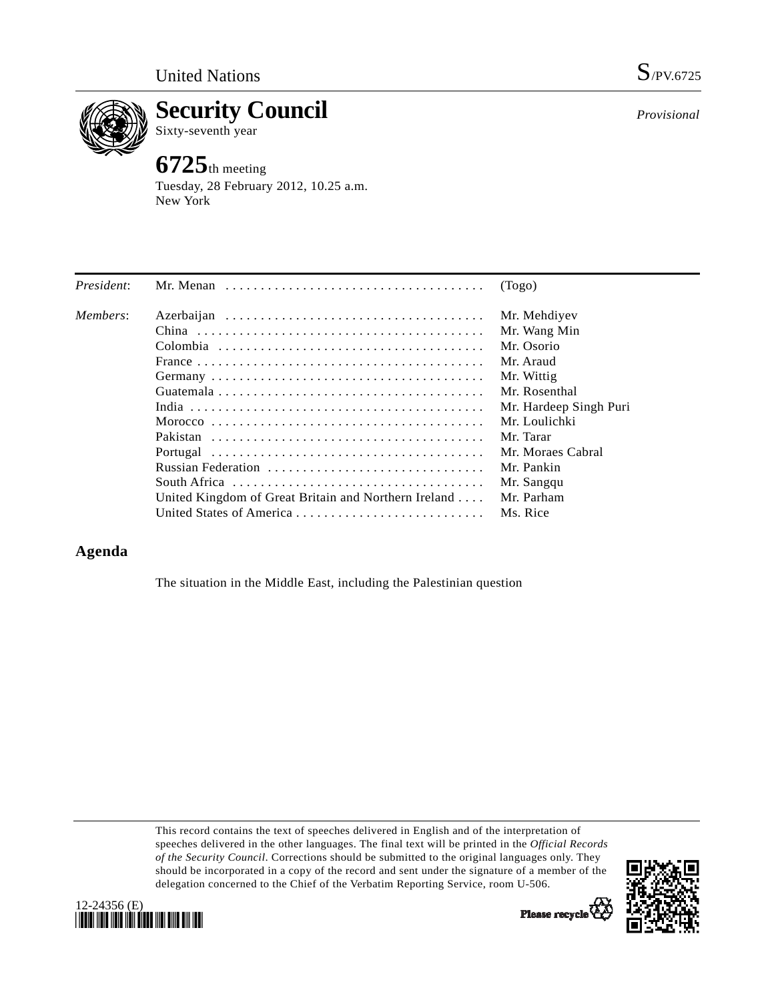

**Security Council**  Sixty-seventh year

## **6725**th meeting

Tuesday, 28 February 2012, 10.25 a.m. New York

| President: |                                                      | (Togo)                 |
|------------|------------------------------------------------------|------------------------|
| Members:   |                                                      | Mr. Mehdiyev           |
|            |                                                      | Mr. Wang Min           |
|            |                                                      | Mr. Osorio             |
|            |                                                      | Mr. Araud              |
|            |                                                      | Mr. Wittig             |
|            |                                                      | Mr. Rosenthal          |
|            |                                                      | Mr. Hardeep Singh Puri |
|            |                                                      | Mr. Loulichki          |
|            |                                                      | Mr. Tarar              |
|            |                                                      | Mr. Moraes Cabral      |
|            | Russian Federation                                   | Mr. Pankin             |
|            |                                                      | Mr. Sangqu             |
|            | United Kingdom of Great Britain and Northern Ireland | Mr. Parham             |
|            |                                                      | Ms. Rice               |

## **Agenda**

The situation in the Middle East, including the Palestinian question

This record contains the text of speeches delivered in English and of the interpretation of speeches delivered in the other languages. The final text will be printed in the *Official Records of the Security Council*. Corrections should be submitted to the original languages only. They should be incorporated in a copy of the record and sent under the signature of a member of the delegation concerned to the Chief of the Verbatim Reporting Service, room U-506.



*Provisional*



Please recycle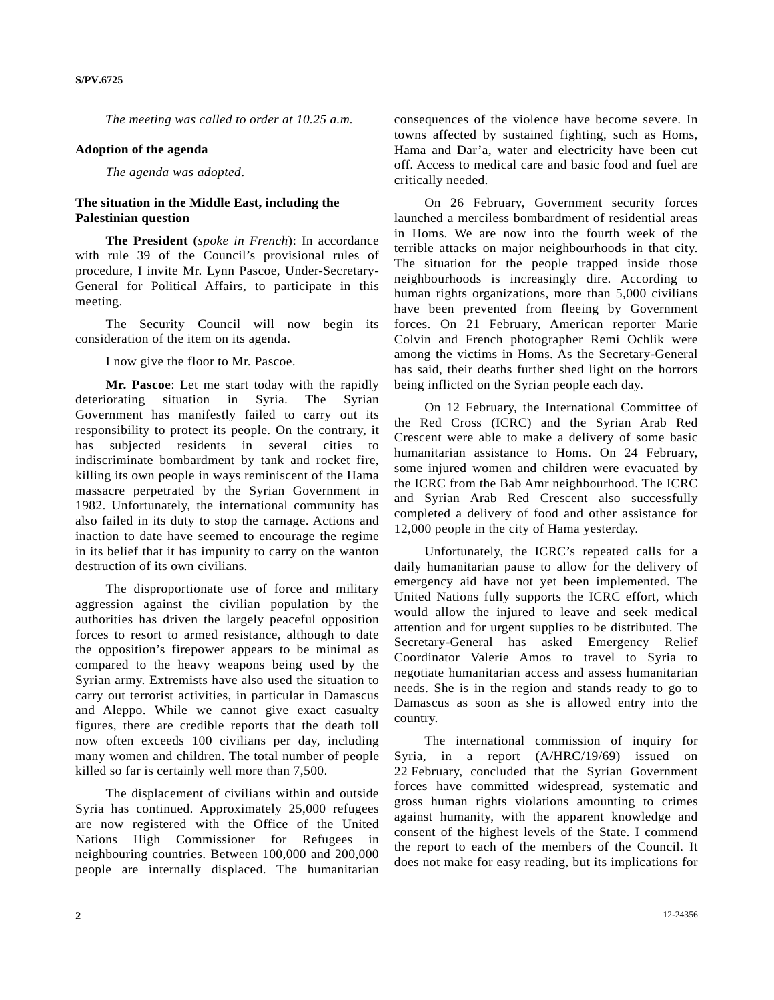*The meeting was called to order at 10.25 a.m.* 

## **Adoption of the agenda**

*The agenda was adopted*.

## **The situation in the Middle East, including the Palestinian question**

**The President** (*spoke in French*): In accordance with rule 39 of the Council's provisional rules of procedure, I invite Mr. Lynn Pascoe, Under-Secretary-General for Political Affairs, to participate in this meeting.

 The Security Council will now begin its consideration of the item on its agenda.

I now give the floor to Mr. Pascoe.

**Mr. Pascoe**: Let me start today with the rapidly deteriorating situation in Syria. The Syrian Government has manifestly failed to carry out its responsibility to protect its people. On the contrary, it has subjected residents in several cities to indiscriminate bombardment by tank and rocket fire, killing its own people in ways reminiscent of the Hama massacre perpetrated by the Syrian Government in 1982. Unfortunately, the international community has also failed in its duty to stop the carnage. Actions and inaction to date have seemed to encourage the regime in its belief that it has impunity to carry on the wanton destruction of its own civilians.

 The disproportionate use of force and military aggression against the civilian population by the authorities has driven the largely peaceful opposition forces to resort to armed resistance, although to date the opposition's firepower appears to be minimal as compared to the heavy weapons being used by the Syrian army. Extremists have also used the situation to carry out terrorist activities, in particular in Damascus and Aleppo. While we cannot give exact casualty figures, there are credible reports that the death toll now often exceeds 100 civilians per day, including many women and children. The total number of people killed so far is certainly well more than 7,500.

 The displacement of civilians within and outside Syria has continued. Approximately 25,000 refugees are now registered with the Office of the United Nations High Commissioner for Refugees in neighbouring countries. Between 100,000 and 200,000 people are internally displaced. The humanitarian

consequences of the violence have become severe. In towns affected by sustained fighting, such as Homs, Hama and Dar'a, water and electricity have been cut off. Access to medical care and basic food and fuel are critically needed.

 On 26 February, Government security forces launched a merciless bombardment of residential areas in Homs. We are now into the fourth week of the terrible attacks on major neighbourhoods in that city. The situation for the people trapped inside those neighbourhoods is increasingly dire. According to human rights organizations, more than 5,000 civilians have been prevented from fleeing by Government forces. On 21 February, American reporter Marie Colvin and French photographer Remi Ochlik were among the victims in Homs. As the Secretary-General has said, their deaths further shed light on the horrors being inflicted on the Syrian people each day.

 On 12 February, the International Committee of the Red Cross (ICRC) and the Syrian Arab Red Crescent were able to make a delivery of some basic humanitarian assistance to Homs. On 24 February, some injured women and children were evacuated by the ICRC from the Bab Amr neighbourhood. The ICRC and Syrian Arab Red Crescent also successfully completed a delivery of food and other assistance for 12,000 people in the city of Hama yesterday.

 Unfortunately, the ICRC's repeated calls for a daily humanitarian pause to allow for the delivery of emergency aid have not yet been implemented. The United Nations fully supports the ICRC effort, which would allow the injured to leave and seek medical attention and for urgent supplies to be distributed. The Secretary-General has asked Emergency Relief Coordinator Valerie Amos to travel to Syria to negotiate humanitarian access and assess humanitarian needs. She is in the region and stands ready to go to Damascus as soon as she is allowed entry into the country.

 The international commission of inquiry for Syria, in a report (A/HRC/19/69) issued on 22 February, concluded that the Syrian Government forces have committed widespread, systematic and gross human rights violations amounting to crimes against humanity, with the apparent knowledge and consent of the highest levels of the State. I commend the report to each of the members of the Council. It does not make for easy reading, but its implications for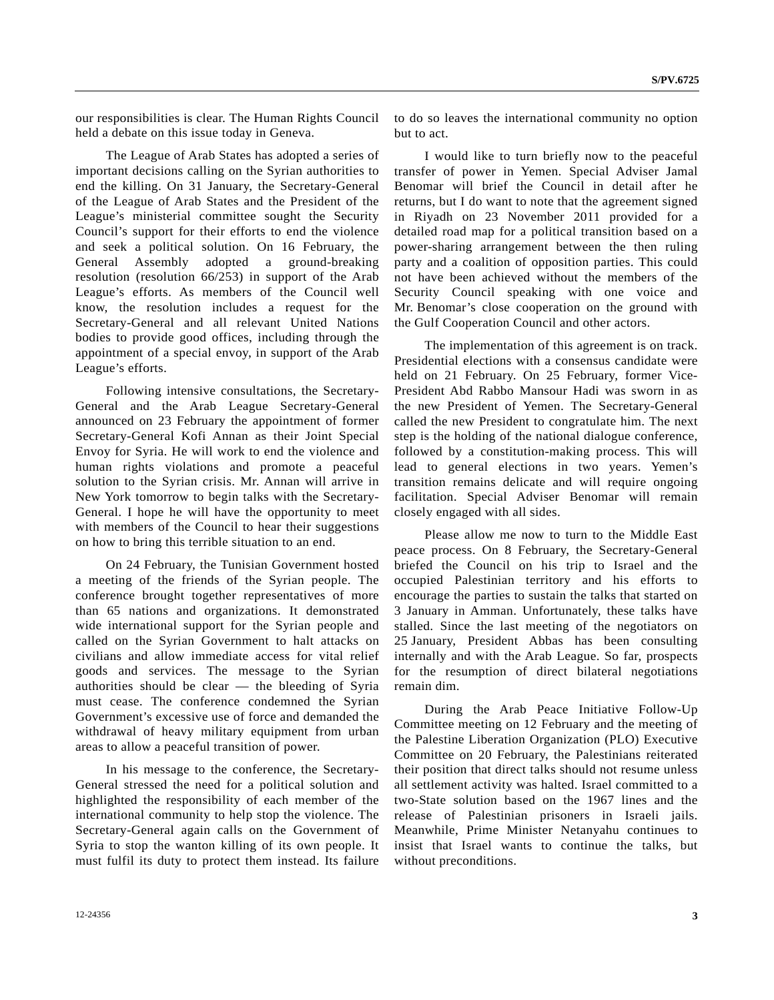our responsibilities is clear. The Human Rights Council held a debate on this issue today in Geneva.

 The League of Arab States has adopted a series of important decisions calling on the Syrian authorities to end the killing. On 31 January, the Secretary-General of the League of Arab States and the President of the League's ministerial committee sought the Security Council's support for their efforts to end the violence and seek a political solution. On 16 February, the General Assembly adopted a ground-breaking resolution (resolution 66/253) in support of the Arab League's efforts. As members of the Council well know, the resolution includes a request for the Secretary-General and all relevant United Nations bodies to provide good offices, including through the appointment of a special envoy, in support of the Arab League's efforts.

 Following intensive consultations, the Secretary-General and the Arab League Secretary-General announced on 23 February the appointment of former Secretary-General Kofi Annan as their Joint Special Envoy for Syria. He will work to end the violence and human rights violations and promote a peaceful solution to the Syrian crisis. Mr. Annan will arrive in New York tomorrow to begin talks with the Secretary-General. I hope he will have the opportunity to meet with members of the Council to hear their suggestions on how to bring this terrible situation to an end.

 On 24 February, the Tunisian Government hosted a meeting of the friends of the Syrian people. The conference brought together representatives of more than 65 nations and organizations. It demonstrated wide international support for the Syrian people and called on the Syrian Government to halt attacks on civilians and allow immediate access for vital relief goods and services. The message to the Syrian authorities should be clear — the bleeding of Syria must cease. The conference condemned the Syrian Government's excessive use of force and demanded the withdrawal of heavy military equipment from urban areas to allow a peaceful transition of power.

 In his message to the conference, the Secretary-General stressed the need for a political solution and highlighted the responsibility of each member of the international community to help stop the violence. The Secretary-General again calls on the Government of Syria to stop the wanton killing of its own people. It must fulfil its duty to protect them instead. Its failure to do so leaves the international community no option but to act.

 I would like to turn briefly now to the peaceful transfer of power in Yemen. Special Adviser Jamal Benomar will brief the Council in detail after he returns, but I do want to note that the agreement signed in Riyadh on 23 November 2011 provided for a detailed road map for a political transition based on a power-sharing arrangement between the then ruling party and a coalition of opposition parties. This could not have been achieved without the members of the Security Council speaking with one voice and Mr. Benomar's close cooperation on the ground with the Gulf Cooperation Council and other actors.

 The implementation of this agreement is on track. Presidential elections with a consensus candidate were held on 21 February. On 25 February, former Vice-President Abd Rabbo Mansour Hadi was sworn in as the new President of Yemen. The Secretary-General called the new President to congratulate him. The next step is the holding of the national dialogue conference, followed by a constitution-making process. This will lead to general elections in two years. Yemen's transition remains delicate and will require ongoing facilitation. Special Adviser Benomar will remain closely engaged with all sides.

 Please allow me now to turn to the Middle East peace process. On 8 February, the Secretary-General briefed the Council on his trip to Israel and the occupied Palestinian territory and his efforts to encourage the parties to sustain the talks that started on 3 January in Amman. Unfortunately, these talks have stalled. Since the last meeting of the negotiators on 25 January, President Abbas has been consulting internally and with the Arab League. So far, prospects for the resumption of direct bilateral negotiations remain dim.

 During the Arab Peace Initiative Follow-Up Committee meeting on 12 February and the meeting of the Palestine Liberation Organization (PLO) Executive Committee on 20 February, the Palestinians reiterated their position that direct talks should not resume unless all settlement activity was halted. Israel committed to a two-State solution based on the 1967 lines and the release of Palestinian prisoners in Israeli jails. Meanwhile, Prime Minister Netanyahu continues to insist that Israel wants to continue the talks, but without preconditions.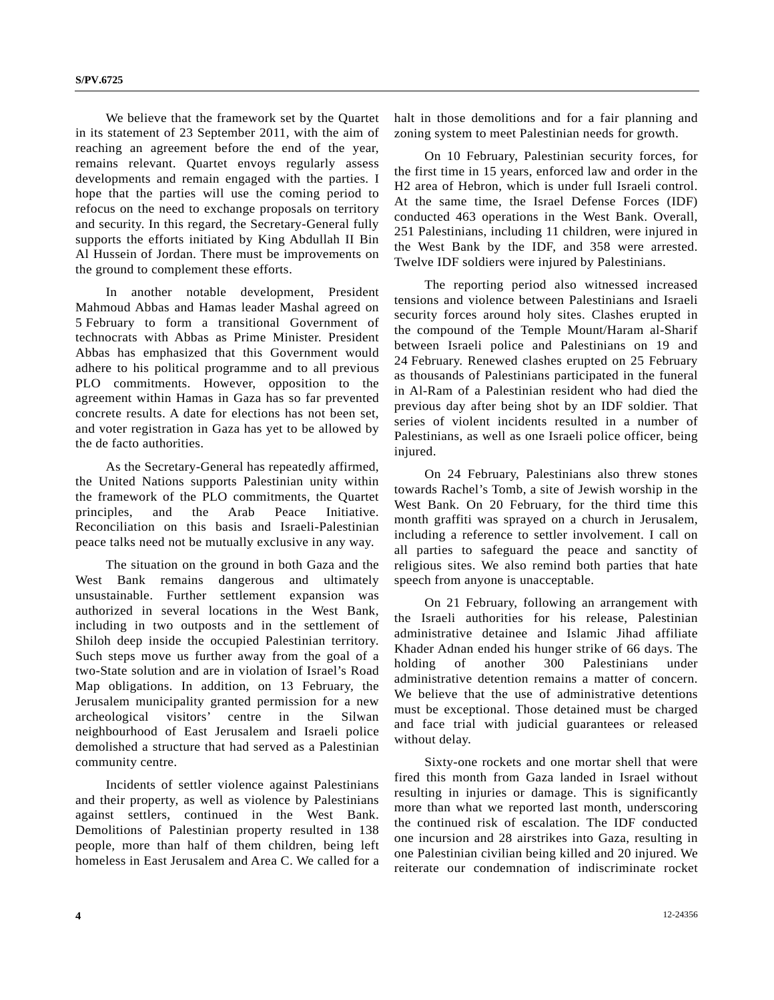We believe that the framework set by the Quartet in its statement of 23 September 2011, with the aim of reaching an agreement before the end of the year, remains relevant. Quartet envoys regularly assess developments and remain engaged with the parties. I hope that the parties will use the coming period to refocus on the need to exchange proposals on territory and security. In this regard, the Secretary-General fully supports the efforts initiated by King Abdullah II Bin Al Hussein of Jordan. There must be improvements on the ground to complement these efforts.

 In another notable development, President Mahmoud Abbas and Hamas leader Mashal agreed on 5 February to form a transitional Government of technocrats with Abbas as Prime Minister. President Abbas has emphasized that this Government would adhere to his political programme and to all previous PLO commitments. However, opposition to the agreement within Hamas in Gaza has so far prevented concrete results. A date for elections has not been set, and voter registration in Gaza has yet to be allowed by the de facto authorities.

 As the Secretary-General has repeatedly affirmed, the United Nations supports Palestinian unity within the framework of the PLO commitments, the Quartet principles, and the Arab Peace Initiative. Reconciliation on this basis and Israeli-Palestinian peace talks need not be mutually exclusive in any way.

 The situation on the ground in both Gaza and the West Bank remains dangerous and ultimately unsustainable. Further settlement expansion was authorized in several locations in the West Bank, including in two outposts and in the settlement of Shiloh deep inside the occupied Palestinian territory. Such steps move us further away from the goal of a two-State solution and are in violation of Israel's Road Map obligations. In addition, on 13 February, the Jerusalem municipality granted permission for a new archeological visitors' centre in the Silwan neighbourhood of East Jerusalem and Israeli police demolished a structure that had served as a Palestinian community centre.

 Incidents of settler violence against Palestinians and their property, as well as violence by Palestinians against settlers, continued in the West Bank. Demolitions of Palestinian property resulted in 138 people, more than half of them children, being left homeless in East Jerusalem and Area C. We called for a

halt in those demolitions and for a fair planning and zoning system to meet Palestinian needs for growth.

 On 10 February, Palestinian security forces, for the first time in 15 years, enforced law and order in the H2 area of Hebron, which is under full Israeli control. At the same time, the Israel Defense Forces (IDF) conducted 463 operations in the West Bank. Overall, 251 Palestinians, including 11 children, were injured in the West Bank by the IDF, and 358 were arrested. Twelve IDF soldiers were injured by Palestinians.

 The reporting period also witnessed increased tensions and violence between Palestinians and Israeli security forces around holy sites. Clashes erupted in the compound of the Temple Mount/Haram al-Sharif between Israeli police and Palestinians on 19 and 24 February. Renewed clashes erupted on 25 February as thousands of Palestinians participated in the funeral in Al-Ram of a Palestinian resident who had died the previous day after being shot by an IDF soldier. That series of violent incidents resulted in a number of Palestinians, as well as one Israeli police officer, being injured.

 On 24 February, Palestinians also threw stones towards Rachel's Tomb, a site of Jewish worship in the West Bank. On 20 February, for the third time this month graffiti was sprayed on a church in Jerusalem, including a reference to settler involvement. I call on all parties to safeguard the peace and sanctity of religious sites. We also remind both parties that hate speech from anyone is unacceptable.

 On 21 February, following an arrangement with the Israeli authorities for his release, Palestinian administrative detainee and Islamic Jihad affiliate Khader Adnan ended his hunger strike of 66 days. The holding of another 300 Palestinians under administrative detention remains a matter of concern. We believe that the use of administrative detentions must be exceptional. Those detained must be charged and face trial with judicial guarantees or released without delay.

 Sixty-one rockets and one mortar shell that were fired this month from Gaza landed in Israel without resulting in injuries or damage. This is significantly more than what we reported last month, underscoring the continued risk of escalation. The IDF conducted one incursion and 28 airstrikes into Gaza, resulting in one Palestinian civilian being killed and 20 injured. We reiterate our condemnation of indiscriminate rocket